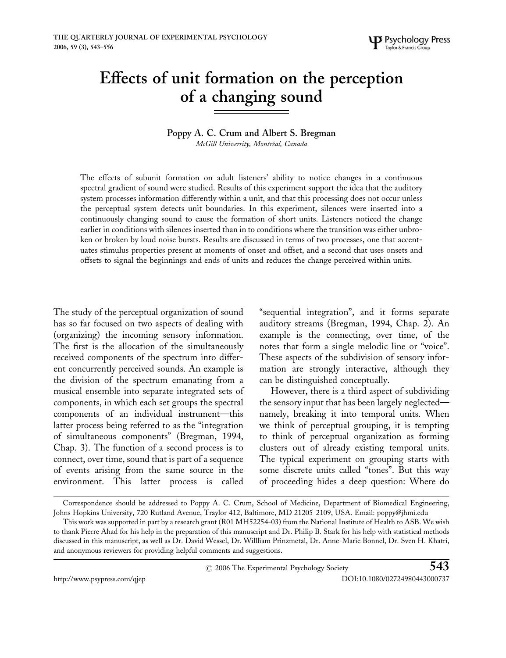# Effects of unit formation on the perception of a changing sound

## Poppy A. C. Crum and Albert S. Bregman

McGill University, Montréal, Canada

The effects of subunit formation on adult listeners' ability to notice changes in a continuous spectral gradient of sound were studied. Results of this experiment support the idea that the auditory system processes information differently within a unit, and that this processing does not occur unless the perceptual system detects unit boundaries. In this experiment, silences were inserted into a continuously changing sound to cause the formation of short units. Listeners noticed the change earlier in conditions with silences inserted than in to conditions where the transition was either unbroken or broken by loud noise bursts. Results are discussed in terms of two processes, one that accentuates stimulus properties present at moments of onset and offset, and a second that uses onsets and offsets to signal the beginnings and ends of units and reduces the change perceived within units.

The study of the perceptual organization of sound has so far focused on two aspects of dealing with (organizing) the incoming sensory information. The first is the allocation of the simultaneously received components of the spectrum into different concurrently perceived sounds. An example is the division of the spectrum emanating from a musical ensemble into separate integrated sets of components, in which each set groups the spectral components of an individual instrument—this latter process being referred to as the "integration of simultaneous components" (Bregman, 1994, Chap. 3). The function of a second process is to connect, over time, sound that is part of a sequence of events arising from the same source in the environment. This latter process is called "sequential integration", and it forms separate auditory streams (Bregman, 1994, Chap. 2). An example is the connecting, over time, of the notes that form a single melodic line or "voice". These aspects of the subdivision of sensory information are strongly interactive, although they can be distinguished conceptually.

However, there is a third aspect of subdividing the sensory input that has been largely neglected namely, breaking it into temporal units. When we think of perceptual grouping, it is tempting to think of perceptual organization as forming clusters out of already existing temporal units. The typical experiment on grouping starts with some discrete units called "tones". But this way of proceeding hides a deep question: Where do

Correspondence should be addressed to Poppy A. C. Crum, School of Medicine, Department of Biomedical Engineering, Johns Hopkins University, 720 Rutland Avenue, Traylor 412, Baltimore, MD 21205-2109, USA. Email: poppy@jhmi.edu

This work was supported in part by a research grant (R01 MH52254-03) from the National Institute of Health to ASB. We wish to thank Pierre Ahad for his help in the preparation of this manuscript and Dr. Philip B. Stark for his help with statistical methods discussed in this manuscript, as well as Dr. David Wessel, Dr. Willliam Prinzmetal, Dr. Anne-Marie Bonnel, Dr. Sven H. Khatri, and anonymous reviewers for providing helpful comments and suggestions.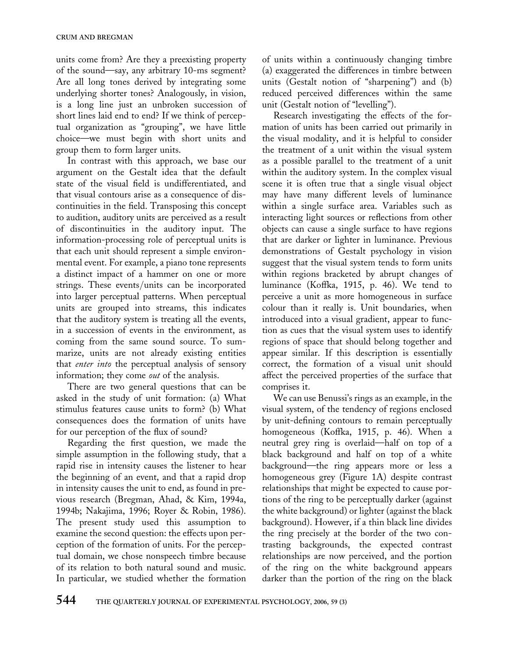units come from? Are they a preexisting property of the sound—say, any arbitrary 10-ms segment? Are all long tones derived by integrating some underlying shorter tones? Analogously, in vision, is a long line just an unbroken succession of short lines laid end to end? If we think of perceptual organization as "grouping", we have little choice—we must begin with short units and group them to form larger units.

In contrast with this approach, we base our argument on the Gestalt idea that the default state of the visual field is undifferentiated, and that visual contours arise as a consequence of discontinuities in the field. Transposing this concept to audition, auditory units are perceived as a result of discontinuities in the auditory input. The information-processing role of perceptual units is that each unit should represent a simple environmental event. For example, a piano tone represents a distinct impact of a hammer on one or more strings. These events/units can be incorporated into larger perceptual patterns. When perceptual units are grouped into streams, this indicates that the auditory system is treating all the events, in a succession of events in the environment, as coming from the same sound source. To summarize, units are not already existing entities that enter into the perceptual analysis of sensory information; they come *out* of the analysis.

There are two general questions that can be asked in the study of unit formation: (a) What stimulus features cause units to form? (b) What consequences does the formation of units have for our perception of the flux of sound?

Regarding the first question, we made the simple assumption in the following study, that a rapid rise in intensity causes the listener to hear the beginning of an event, and that a rapid drop in intensity causes the unit to end, as found in previous research (Bregman, Ahad, & Kim, 1994a, 1994b; Nakajima, 1996; Royer & Robin, 1986). The present study used this assumption to examine the second question: the effects upon perception of the formation of units. For the perceptual domain, we chose nonspeech timbre because of its relation to both natural sound and music. In particular, we studied whether the formation

of units within a continuously changing timbre (a) exaggerated the differences in timbre between units (Gestalt notion of "sharpening") and (b) reduced perceived differences within the same unit (Gestalt notion of "levelling").

Research investigating the effects of the formation of units has been carried out primarily in the visual modality, and it is helpful to consider the treatment of a unit within the visual system as a possible parallel to the treatment of a unit within the auditory system. In the complex visual scene it is often true that a single visual object may have many different levels of luminance within a single surface area. Variables such as interacting light sources or reflections from other objects can cause a single surface to have regions that are darker or lighter in luminance. Previous demonstrations of Gestalt psychology in vision suggest that the visual system tends to form units within regions bracketed by abrupt changes of luminance (Koffka, 1915, p. 46). We tend to perceive a unit as more homogeneous in surface colour than it really is. Unit boundaries, when introduced into a visual gradient, appear to function as cues that the visual system uses to identify regions of space that should belong together and appear similar. If this description is essentially correct, the formation of a visual unit should affect the perceived properties of the surface that comprises it.

We can use Benussi's rings as an example, in the visual system, of the tendency of regions enclosed by unit-defining contours to remain perceptually homogeneous (Koffka, 1915, p. 46). When a neutral grey ring is overlaid—half on top of a black background and half on top of a white background—the ring appears more or less a homogeneous grey (Figure 1A) despite contrast relationships that might be expected to cause portions of the ring to be perceptually darker (against the white background) or lighter (against the black background). However, if a thin black line divides the ring precisely at the border of the two contrasting backgrounds, the expected contrast relationships are now perceived, and the portion of the ring on the white background appears darker than the portion of the ring on the black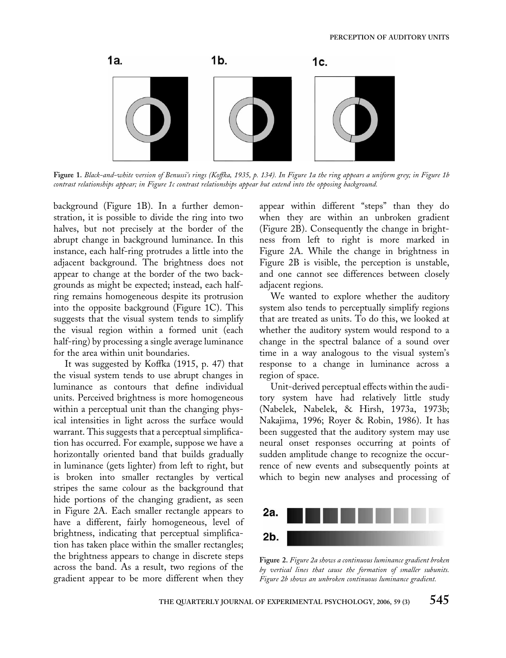

Figure 1. Black-and-white version of Benussi's rings (Koffka, 1935, p. 134). In Figure 1a the ring appears a uniform grey; in Figure 1b contrast relationships appear; in Figure 1c contrast relationships appear but extend into the opposing background.

background (Figure 1B). In a further demonstration, it is possible to divide the ring into two halves, but not precisely at the border of the abrupt change in background luminance. In this instance, each half-ring protrudes a little into the adjacent background. The brightness does not appear to change at the border of the two backgrounds as might be expected; instead, each halfring remains homogeneous despite its protrusion into the opposite background (Figure 1C). This suggests that the visual system tends to simplify the visual region within a formed unit (each half-ring) by processing a single average luminance for the area within unit boundaries.

It was suggested by Koffka (1915, p. 47) that the visual system tends to use abrupt changes in luminance as contours that define individual units. Perceived brightness is more homogeneous within a perceptual unit than the changing physical intensities in light across the surface would warrant. This suggests that a perceptual simplification has occurred. For example, suppose we have a horizontally oriented band that builds gradually in luminance (gets lighter) from left to right, but is broken into smaller rectangles by vertical stripes the same colour as the background that hide portions of the changing gradient, as seen in Figure 2A. Each smaller rectangle appears to have a different, fairly homogeneous, level of brightness, indicating that perceptual simplification has taken place within the smaller rectangles; the brightness appears to change in discrete steps across the band. As a result, two regions of the gradient appear to be more different when they

appear within different "steps" than they do when they are within an unbroken gradient (Figure 2B). Consequently the change in brightness from left to right is more marked in Figure 2A. While the change in brightness in Figure 2B is visible, the perception is unstable, and one cannot see differences between closely adjacent regions.

We wanted to explore whether the auditory system also tends to perceptually simplify regions that are treated as units. To do this, we looked at whether the auditory system would respond to a change in the spectral balance of a sound over time in a way analogous to the visual system's response to a change in luminance across a region of space.

Unit-derived perceptual effects within the auditory system have had relatively little study (Nabelek, Nabelek, & Hirsh, 1973a, 1973b; Nakajima, 1996; Royer & Robin, 1986). It has been suggested that the auditory system may use neural onset responses occurring at points of sudden amplitude change to recognize the occurrence of new events and subsequently points at which to begin new analyses and processing of



Figure 2. Figure 2a shows a continuous luminance gradient broken by vertical lines that cause the formation of smaller subunits. Figure 2b shows an unbroken continuous luminance gradient.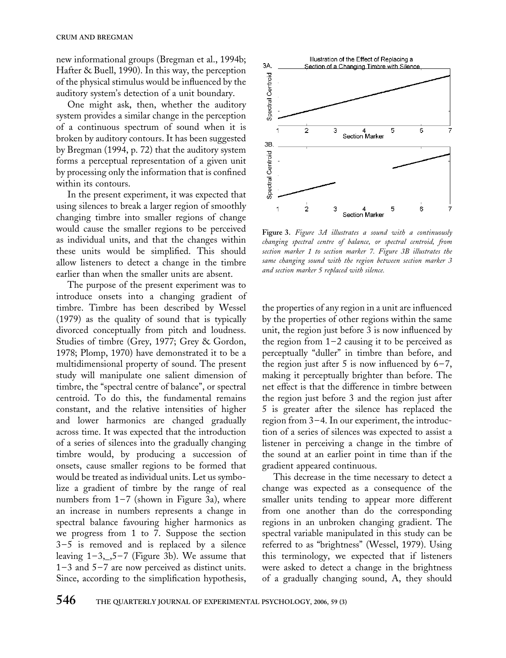new informational groups (Bregman et al., 1994b; Hafter & Buell, 1990). In this way, the perception of the physical stimulus would be influenced by the auditory system's detection of a unit boundary.

One might ask, then, whether the auditory system provides a similar change in the perception of a continuous spectrum of sound when it is broken by auditory contours. It has been suggested by Bregman (1994, p. 72) that the auditory system forms a perceptual representation of a given unit by processing only the information that is confined within its contours.

In the present experiment, it was expected that using silences to break a larger region of smoothly changing timbre into smaller regions of change would cause the smaller regions to be perceived as individual units, and that the changes within these units would be simplified. This should allow listeners to detect a change in the timbre earlier than when the smaller units are absent.

The purpose of the present experiment was to introduce onsets into a changing gradient of timbre. Timbre has been described by Wessel (1979) as the quality of sound that is typically divorced conceptually from pitch and loudness. Studies of timbre (Grey, 1977; Grey & Gordon, 1978; Plomp, 1970) have demonstrated it to be a multidimensional property of sound. The present study will manipulate one salient dimension of timbre, the "spectral centre of balance", or spectral centroid. To do this, the fundamental remains constant, and the relative intensities of higher and lower harmonics are changed gradually across time. It was expected that the introduction of a series of silences into the gradually changing timbre would, by producing a succession of onsets, cause smaller regions to be formed that would be treated as individual units. Let us symbolize a gradient of timbre by the range of real numbers from  $1-7$  (shown in Figure 3a), where an increase in numbers represents a change in spectral balance favouring higher harmonics as we progress from 1 to 7. Suppose the section 3–5 is removed and is replaced by a silence leaving  $1-3$ ,  $5-7$  (Figure 3b). We assume that 1–3 and 5–7 are now perceived as distinct units. Since, according to the simplification hypothesis,



Figure 3. Figure 3A illustrates a sound with a continuously changing spectral centre of balance, or spectral centroid, from section marker 1 to section marker 7. Figure 3B illustrates the same changing sound with the region between section marker 3 and section marker 5 replaced with silence.

the properties of any region in a unit are influenced by the properties of other regions within the same unit, the region just before 3 is now influenced by the region from  $1-2$  causing it to be perceived as perceptually "duller" in timbre than before, and the region just after 5 is now influenced by  $6-7$ , making it perceptually brighter than before. The net effect is that the difference in timbre between the region just before 3 and the region just after 5 is greater after the silence has replaced the region from 3–4. In our experiment, the introduction of a series of silences was expected to assist a listener in perceiving a change in the timbre of the sound at an earlier point in time than if the gradient appeared continuous.

This decrease in the time necessary to detect a change was expected as a consequence of the smaller units tending to appear more different from one another than do the corresponding regions in an unbroken changing gradient. The spectral variable manipulated in this study can be referred to as "brightness" (Wessel, 1979). Using this terminology, we expected that if listeners were asked to detect a change in the brightness of a gradually changing sound, A, they should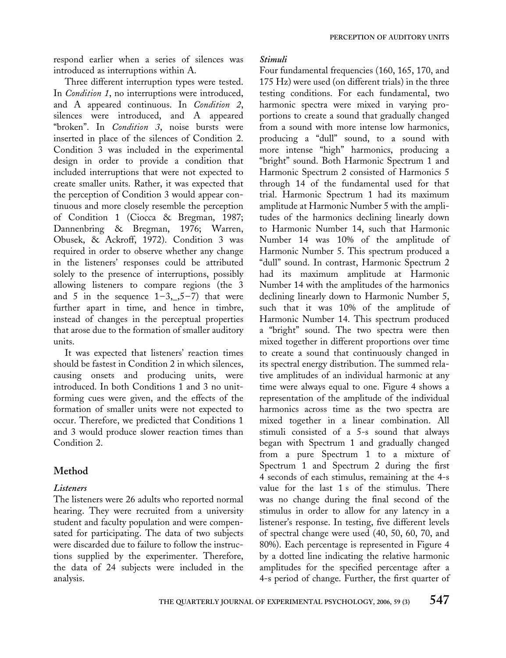respond earlier when a series of silences was introduced as interruptions within A.

Three different interruption types were tested. In *Condition 1*, no interruptions were introduced, and A appeared continuous. In Condition 2, silences were introduced, and A appeared "broken". In *Condition 3*, noise bursts were inserted in place of the silences of Condition 2. Condition 3 was included in the experimental design in order to provide a condition that included interruptions that were not expected to create smaller units. Rather, it was expected that the perception of Condition 3 would appear continuous and more closely resemble the perception of Condition 1 (Ciocca & Bregman, 1987; Dannenbring & Bregman, 1976; Warren, Obusek, & Ackroff, 1972). Condition 3 was required in order to observe whether any change in the listeners' responses could be attributed solely to the presence of interruptions, possibly allowing listeners to compare regions (the 3 and 5 in the sequence  $1-3$ ,  $5-7$ ) that were further apart in time, and hence in timbre, instead of changes in the perceptual properties that arose due to the formation of smaller auditory units.

It was expected that listeners' reaction times should be fastest in Condition 2 in which silences, causing onsets and producing units, were introduced. In both Conditions 1 and 3 no unitforming cues were given, and the effects of the formation of smaller units were not expected to occur. Therefore, we predicted that Conditions 1 and 3 would produce slower reaction times than Condition 2.

# Method

# **Listeners**

The listeners were 26 adults who reported normal hearing. They were recruited from a university student and faculty population and were compensated for participating. The data of two subjects were discarded due to failure to follow the instructions supplied by the experimenter. Therefore, the data of 24 subjects were included in the analysis.

## Stimuli

Four fundamental frequencies (160, 165, 170, and 175 Hz) were used (on different trials) in the three testing conditions. For each fundamental, two harmonic spectra were mixed in varying proportions to create a sound that gradually changed from a sound with more intense low harmonics, producing a "dull" sound, to a sound with more intense "high" harmonics, producing a "bright" sound. Both Harmonic Spectrum 1 and Harmonic Spectrum 2 consisted of Harmonics 5 through 14 of the fundamental used for that trial. Harmonic Spectrum 1 had its maximum amplitude at Harmonic Number 5 with the amplitudes of the harmonics declining linearly down to Harmonic Number 14, such that Harmonic Number 14 was 10% of the amplitude of Harmonic Number 5. This spectrum produced a "dull" sound. In contrast, Harmonic Spectrum 2 had its maximum amplitude at Harmonic Number 14 with the amplitudes of the harmonics declining linearly down to Harmonic Number 5, such that it was 10% of the amplitude of Harmonic Number 14. This spectrum produced a "bright" sound. The two spectra were then mixed together in different proportions over time to create a sound that continuously changed in its spectral energy distribution. The summed relative amplitudes of an individual harmonic at any time were always equal to one. Figure 4 shows a representation of the amplitude of the individual harmonics across time as the two spectra are mixed together in a linear combination. All stimuli consisted of a 5-s sound that always began with Spectrum 1 and gradually changed from a pure Spectrum 1 to a mixture of Spectrum 1 and Spectrum 2 during the first 4 seconds of each stimulus, remaining at the 4-s value for the last 1 s of the stimulus. There was no change during the final second of the stimulus in order to allow for any latency in a listener's response. In testing, five different levels of spectral change were used (40, 50, 60, 70, and 80%). Each percentage is represented in Figure 4 by a dotted line indicating the relative harmonic amplitudes for the specified percentage after a 4-s period of change. Further, the first quarter of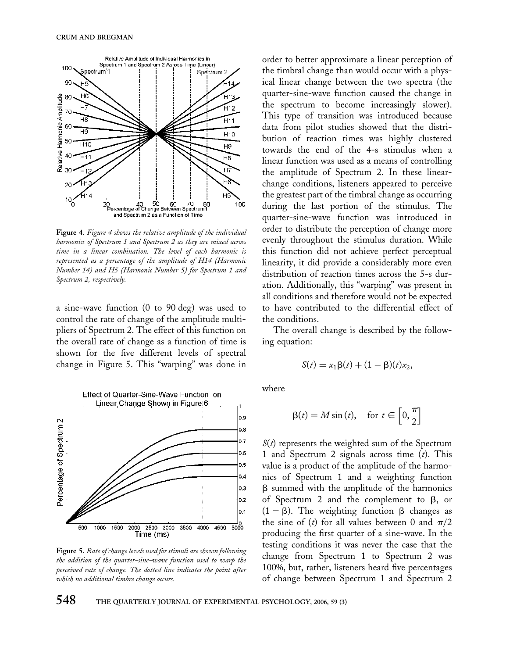

Figure 4. Figure 4 shows the relative amplitude of the individual harmonics of Spectrum 1 and Spectrum 2 as they are mixed across time in a linear combination. The level of each harmonic is represented as a percentage of the amplitude of H14 (Harmonic Number 14) and H5 (Harmonic Number 5) for Spectrum 1 and Spectrum 2, respectively.

a sine-wave function (0 to 90 deg) was used to control the rate of change of the amplitude multipliers of Spectrum 2. The effect of this function on the overall rate of change as a function of time is shown for the five different levels of spectral change in Figure 5. This "warping" was done in



Figure 5. Rate of change levels used for stimuli are shown following the addition of the quarter-sine-wave function used to warp the perceived rate of change. The dotted line indicates the point after which no additional timbre change occurs.

order to better approximate a linear perception of the timbral change than would occur with a physical linear change between the two spectra (the quarter-sine-wave function caused the change in the spectrum to become increasingly slower). This type of transition was introduced because data from pilot studies showed that the distribution of reaction times was highly clustered towards the end of the 4-s stimulus when a linear function was used as a means of controlling the amplitude of Spectrum 2. In these linearchange conditions, listeners appeared to perceive the greatest part of the timbral change as occurring during the last portion of the stimulus. The quarter-sine-wave function was introduced in order to distribute the perception of change more evenly throughout the stimulus duration. While this function did not achieve perfect perceptual linearity, it did provide a considerably more even distribution of reaction times across the 5-s duration. Additionally, this "warping" was present in all conditions and therefore would not be expected to have contributed to the differential effect of the conditions.

The overall change is described by the following equation:

$$
S(t) = x_1 \beta(t) + (1 - \beta)(t)x_2,
$$

where

$$
\beta(t) = M \sin(t), \quad \text{for } t \in \left[0, \frac{\pi}{2}\right]
$$

 $S(t)$  represents the weighted sum of the Spectrum 1 and Spectrum 2 signals across time  $(t)$ . This value is a product of the amplitude of the harmonics of Spectrum 1 and a weighting function  $\beta$  summed with the amplitude of the harmonics of Spectrum 2 and the complement to  $\beta$ , or  $(1 - \beta)$ . The weighting function  $\beta$  changes as the sine of (*t*) for all values between 0 and  $\pi/2$ producing the first quarter of a sine-wave. In the testing conditions it was never the case that the change from Spectrum 1 to Spectrum 2 was 100%, but, rather, listeners heard five percentages of change between Spectrum 1 and Spectrum 2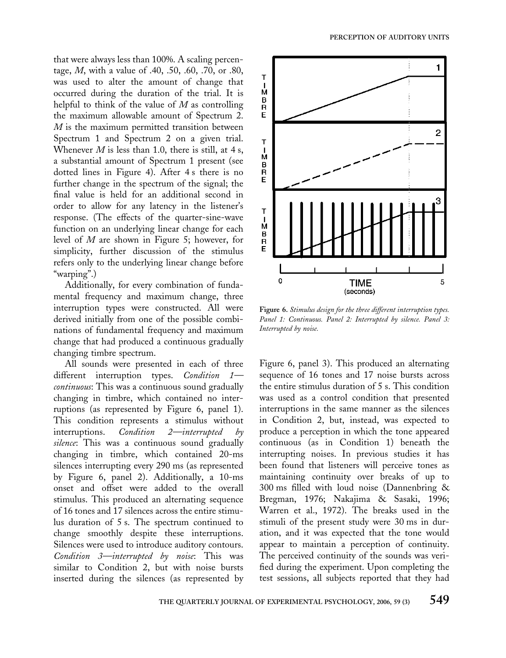that were always less than 100%. A scaling percentage, *M*, with a value of .40, .50, .60, .70, or .80, was used to alter the amount of change that occurred during the duration of the trial. It is helpful to think of the value of  $M$  as controlling the maximum allowable amount of Spectrum 2.  $M$  is the maximum permitted transition between Spectrum 1 and Spectrum 2 on a given trial. Whenever  $M$  is less than 1.0, there is still, at 4 s, a substantial amount of Spectrum 1 present (see dotted lines in Figure 4). After 4 s there is no further change in the spectrum of the signal; the final value is held for an additional second in order to allow for any latency in the listener's response. (The effects of the quarter-sine-wave function on an underlying linear change for each level of  $M$  are shown in Figure 5; however, for simplicity, further discussion of the stimulus refers only to the underlying linear change before "warping".)

Additionally, for every combination of fundamental frequency and maximum change, three interruption types were constructed. All were derived initially from one of the possible combinations of fundamental frequency and maximum change that had produced a continuous gradually changing timbre spectrum.

All sounds were presented in each of three different interruption types. Condition 1continuous: This was a continuous sound gradually changing in timbre, which contained no interruptions (as represented by Figure 6, panel 1). This condition represents a stimulus without interruptions. Condition 2—interrupted by silence: This was a continuous sound gradually changing in timbre, which contained 20-ms silences interrupting every 290 ms (as represented by Figure 6, panel 2). Additionally, a 10-ms onset and offset were added to the overall stimulus. This produced an alternating sequence of 16 tones and 17 silences across the entire stimulus duration of 5 s. The spectrum continued to change smoothly despite these interruptions. Silences were used to introduce auditory contours. Condition 3—interrupted by noise: This was similar to Condition 2, but with noise bursts inserted during the silences (as represented by



Figure 6. Stimulus design for the three different interruption types. Panel 1: Continuous. Panel 2: Interrupted by silence. Panel 3: Interrupted by noise.

Figure 6, panel 3). This produced an alternating sequence of 16 tones and 17 noise bursts across the entire stimulus duration of 5 s. This condition was used as a control condition that presented interruptions in the same manner as the silences in Condition 2, but, instead, was expected to produce a perception in which the tone appeared continuous (as in Condition 1) beneath the interrupting noises. In previous studies it has been found that listeners will perceive tones as maintaining continuity over breaks of up to 300 ms filled with loud noise (Dannenbring & Bregman, 1976; Nakajima & Sasaki, 1996; Warren et al., 1972). The breaks used in the stimuli of the present study were 30 ms in duration, and it was expected that the tone would appear to maintain a perception of continuity. The perceived continuity of the sounds was verified during the experiment. Upon completing the test sessions, all subjects reported that they had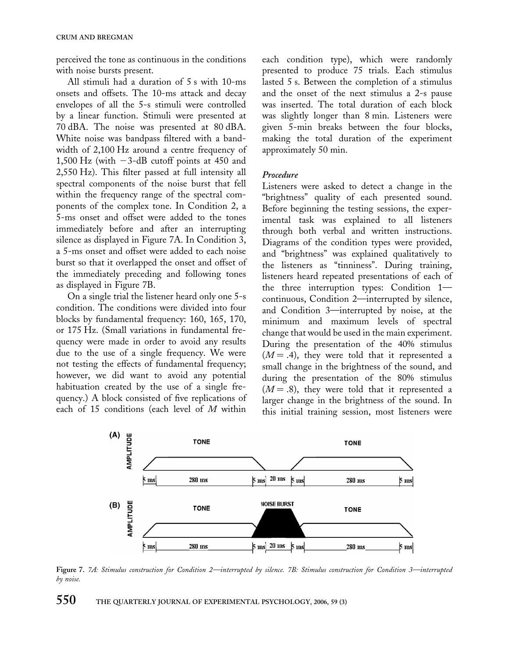perceived the tone as continuous in the conditions with noise bursts present.

All stimuli had a duration of 5 s with 10-ms onsets and offsets. The 10-ms attack and decay envelopes of all the 5-s stimuli were controlled by a linear function. Stimuli were presented at 70 dBA. The noise was presented at 80 dBA. White noise was bandpass filtered with a bandwidth of 2,100 Hz around a centre frequency of 1,500 Hz (with  $-3$ -dB cutoff points at 450 and 2,550 Hz). This filter passed at full intensity all spectral components of the noise burst that fell within the frequency range of the spectral components of the complex tone. In Condition 2, a 5-ms onset and offset were added to the tones immediately before and after an interrupting silence as displayed in Figure 7A. In Condition 3, a 5-ms onset and offset were added to each noise burst so that it overlapped the onset and offset of the immediately preceding and following tones as displayed in Figure 7B.

On a single trial the listener heard only one 5-s condition. The conditions were divided into four blocks by fundamental frequency: 160, 165, 170, or 175 Hz. (Small variations in fundamental frequency were made in order to avoid any results due to the use of a single frequency. We were not testing the effects of fundamental frequency; however, we did want to avoid any potential habituation created by the use of a single frequency.) A block consisted of five replications of each of 15 conditions (each level of M within

each condition type), which were randomly presented to produce 75 trials. Each stimulus lasted 5 s. Between the completion of a stimulus and the onset of the next stimulus a 2-s pause was inserted. The total duration of each block was slightly longer than 8 min. Listeners were given 5-min breaks between the four blocks, making the total duration of the experiment approximately 50 min.

#### Procedure

Listeners were asked to detect a change in the "brightness" quality of each presented sound. Before beginning the testing sessions, the experimental task was explained to all listeners through both verbal and written instructions. Diagrams of the condition types were provided, and "brightness" was explained qualitatively to the listeners as "tinniness". During training, listeners heard repeated presentations of each of the three interruption types: Condition 1 continuous, Condition 2—interrupted by silence, and Condition 3—interrupted by noise, at the minimum and maximum levels of spectral change that would be used in the main experiment. During the presentation of the 40% stimulus  $(M = .4)$ , they were told that it represented a small change in the brightness of the sound, and during the presentation of the 80% stimulus  $(M = .8)$ , they were told that it represented a larger change in the brightness of the sound. In this initial training session, most listeners were



Figure 7. 7A: Stimulus construction for Condition 2—interrupted by silence. 7B: Stimulus construction for Condition 3—interrupted by noise.

 $550$  THE QUARTERLY JOURNAL OF EXPERIMENTAL PSYCHOLOGY, 2006, 59 (3)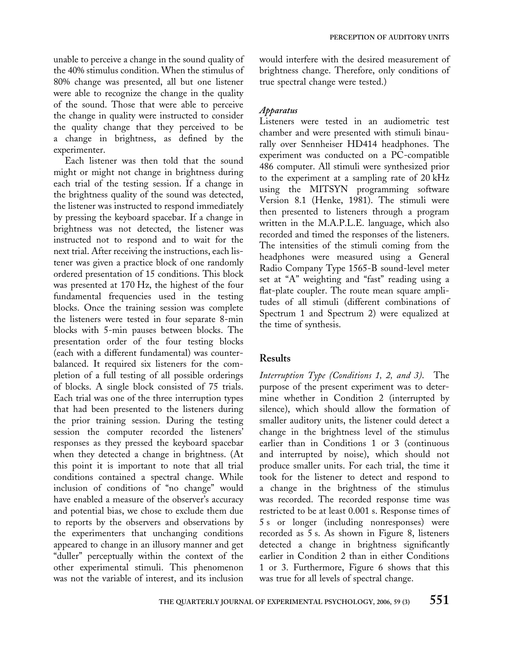unable to perceive a change in the sound quality of the 40% stimulus condition. When the stimulus of 80% change was presented, all but one listener were able to recognize the change in the quality of the sound. Those that were able to perceive the change in quality were instructed to consider the quality change that they perceived to be a change in brightness, as defined by the experimenter.

Each listener was then told that the sound might or might not change in brightness during each trial of the testing session. If a change in the brightness quality of the sound was detected, the listener was instructed to respond immediately by pressing the keyboard spacebar. If a change in brightness was not detected, the listener was instructed not to respond and to wait for the next trial. After receiving the instructions, each listener was given a practice block of one randomly ordered presentation of 15 conditions. This block was presented at 170 Hz, the highest of the four fundamental frequencies used in the testing blocks. Once the training session was complete the listeners were tested in four separate 8-min blocks with 5-min pauses between blocks. The presentation order of the four testing blocks (each with a different fundamental) was counterbalanced. It required six listeners for the completion of a full testing of all possible orderings of blocks. A single block consisted of 75 trials. Each trial was one of the three interruption types that had been presented to the listeners during the prior training session. During the testing session the computer recorded the listeners' responses as they pressed the keyboard spacebar when they detected a change in brightness. (At this point it is important to note that all trial conditions contained a spectral change. While inclusion of conditions of "no change" would have enabled a measure of the observer's accuracy and potential bias, we chose to exclude them due to reports by the observers and observations by the experimenters that unchanging conditions appeared to change in an illusory manner and get "duller" perceptually within the context of the other experimental stimuli. This phenomenon was not the variable of interest, and its inclusion

would interfere with the desired measurement of brightness change. Therefore, only conditions of true spectral change were tested.)

## Apparatus

Listeners were tested in an audiometric test chamber and were presented with stimuli binaurally over Sennheiser HD414 headphones. The experiment was conducted on a PC-compatible 486 computer. All stimuli were synthesized prior to the experiment at a sampling rate of 20 kHz using the MITSYN programming software Version 8.1 (Henke, 1981). The stimuli were then presented to listeners through a program written in the M.A.P.L.E. language, which also recorded and timed the responses of the listeners. The intensities of the stimuli coming from the headphones were measured using a General Radio Company Type 1565-B sound-level meter set at "A" weighting and "fast" reading using a flat-plate coupler. The route mean square amplitudes of all stimuli (different combinations of Spectrum 1 and Spectrum 2) were equalized at the time of synthesis.

#### Results

Interruption Type (Conditions 1, 2, and 3). The purpose of the present experiment was to determine whether in Condition 2 (interrupted by silence), which should allow the formation of smaller auditory units, the listener could detect a change in the brightness level of the stimulus earlier than in Conditions 1 or 3 (continuous and interrupted by noise), which should not produce smaller units. For each trial, the time it took for the listener to detect and respond to a change in the brightness of the stimulus was recorded. The recorded response time was restricted to be at least 0.001 s. Response times of 5 s or longer (including nonresponses) were recorded as 5 s. As shown in Figure 8, listeners detected a change in brightness significantly earlier in Condition 2 than in either Conditions 1 or 3. Furthermore, Figure 6 shows that this was true for all levels of spectral change.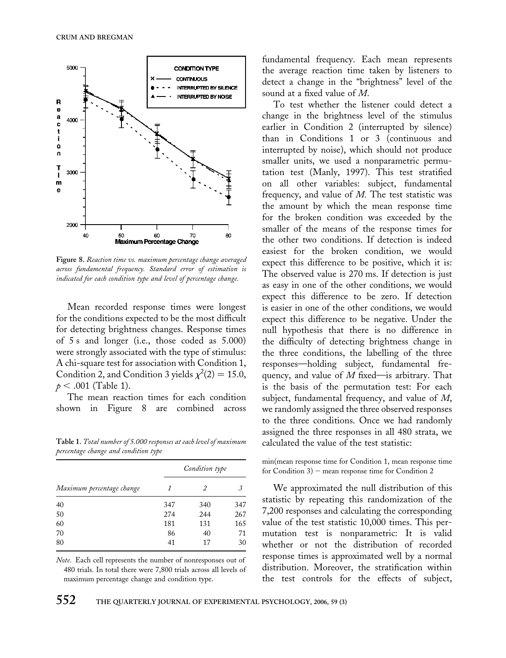

Figure 8. Reaction time vs. maximum percentage change averaged across fundamental frequency. Standard error of estimation is indicated for each condition type and level of percentage change.

Mean recorded response times were longest for the conditions expected to be the most difficult for detecting brightness changes. Response times of 5 s and longer (i.e., those coded as 5.000) were strongly associated with the type of stimulus: A chi-square test for association with Condition 1, Condition 2, and Condition 3 yields  $\chi^2(2) = 15.0$ ,  $p < .001$  (Table 1).

The mean reaction times for each condition shown in Figure 8 are combined across

Table 1. Total number of 5.000 responses at each level of maximum percentage change and condition type

| Maximum percentage change | Condition type |     |     |
|---------------------------|----------------|-----|-----|
|                           | 1              | 2   | .3  |
| 40                        | 347            | 340 | 347 |
| 50                        | 274            | 244 | 267 |
| 60                        | 181            | 131 | 165 |
| 70                        | 86             | 40  | 71  |
| 80                        | 41             | 17  | 30  |

Note. Each cell represents the number of nonresponses out of 480 trials. In total there were 7,800 trials across all levels of maximum percentage change and condition type.

fundamental frequency. Each mean represents the average reaction time taken by listeners to detect a change in the "brightness" level of the sound at a fixed value of M.

To test whether the listener could detect a change in the brightness level of the stimulus earlier in Condition 2 (interrupted by silence) than in Conditions 1 or 3 (continuous and interrupted by noise), which should not produce smaller units, we used a nonparametric permutation test (Manly, 1997). This test stratified on all other variables: subject, fundamental frequency, and value of  $M$ . The test statistic was the amount by which the mean response time for the broken condition was exceeded by the smaller of the means of the response times for the other two conditions. If detection is indeed easiest for the broken condition, we would expect this difference to be positive, which it is: The observed value is 270 ms. If detection is just as easy in one of the other conditions, we would expect this difference to be zero. If detection is easier in one of the other conditions, we would expect this difference to be negative. Under the null hypothesis that there is no difference in the difficulty of detecting brightness change in the three conditions, the labelling of the three responses—holding subject, fundamental frequency, and value of  $M$  fixed—is arbitrary. That is the basis of the permutation test: For each subject, fundamental frequency, and value of M, we randomly assigned the three observed responses to the three conditions. Once we had randomly assigned the three responses in all 480 strata, we calculated the value of the test statistic:

min(mean response time for Condition 1, mean response time for Condition  $3$ ) – mean response time for Condition 2

We approximated the null distribution of this statistic by repeating this randomization of the 7,200 responses and calculating the corresponding value of the test statistic 10,000 times. This permutation test is nonparametric: It is valid whether or not the distribution of recorded response times is approximated well by a normal distribution. Moreover, the stratification within the test controls for the effects of subject,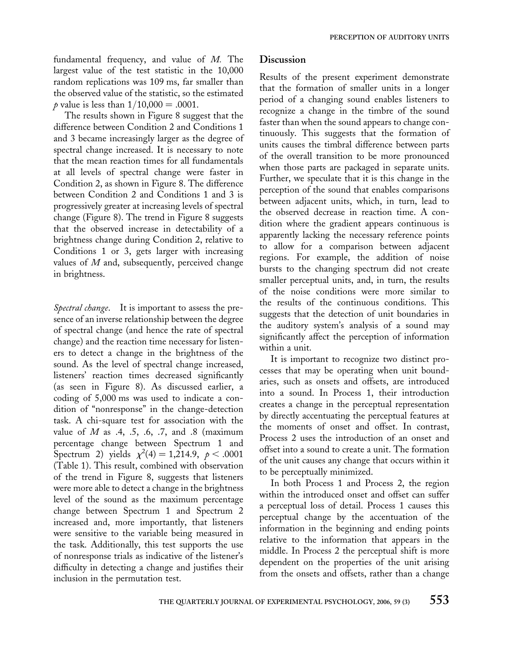fundamental frequency, and value of M. The largest value of the test statistic in the 10,000 random replications was 109 ms, far smaller than the observed value of the statistic, so the estimated *p* value is less than  $1/10,000 = .0001$ .

The results shown in Figure 8 suggest that the difference between Condition 2 and Conditions 1 and 3 became increasingly larger as the degree of spectral change increased. It is necessary to note that the mean reaction times for all fundamentals at all levels of spectral change were faster in Condition 2, as shown in Figure 8. The difference between Condition 2 and Conditions 1 and 3 is progressively greater at increasing levels of spectral change (Figure 8). The trend in Figure 8 suggests that the observed increase in detectability of a brightness change during Condition 2, relative to Conditions 1 or 3, gets larger with increasing values of  $M$  and, subsequently, perceived change in brightness.

Spectral change. It is important to assess the presence of an inverse relationship between the degree of spectral change (and hence the rate of spectral change) and the reaction time necessary for listeners to detect a change in the brightness of the sound. As the level of spectral change increased, listeners' reaction times decreased significantly (as seen in Figure 8). As discussed earlier, a coding of 5,000 ms was used to indicate a condition of "nonresponse" in the change-detection task. A chi-square test for association with the value of  $M$  as .4, .5, .6, .7, and .8 (maximum percentage change between Spectrum 1 and Spectrum 2) yields  $\chi^2(4) = 1,214.9, \; p < .0001$ (Table 1). This result, combined with observation of the trend in Figure 8, suggests that listeners were more able to detect a change in the brightness level of the sound as the maximum percentage change between Spectrum 1 and Spectrum 2 increased and, more importantly, that listeners were sensitive to the variable being measured in the task. Additionally, this test supports the use of nonresponse trials as indicative of the listener's difficulty in detecting a change and justifies their inclusion in the permutation test.

### Discussion

Results of the present experiment demonstrate that the formation of smaller units in a longer period of a changing sound enables listeners to recognize a change in the timbre of the sound faster than when the sound appears to change continuously. This suggests that the formation of units causes the timbral difference between parts of the overall transition to be more pronounced when those parts are packaged in separate units. Further, we speculate that it is this change in the perception of the sound that enables comparisons between adjacent units, which, in turn, lead to the observed decrease in reaction time. A condition where the gradient appears continuous is apparently lacking the necessary reference points to allow for a comparison between adjacent regions. For example, the addition of noise bursts to the changing spectrum did not create smaller perceptual units, and, in turn, the results of the noise conditions were more similar to the results of the continuous conditions. This suggests that the detection of unit boundaries in the auditory system's analysis of a sound may significantly affect the perception of information within a unit.

It is important to recognize two distinct processes that may be operating when unit boundaries, such as onsets and offsets, are introduced into a sound. In Process 1, their introduction creates a change in the perceptual representation by directly accentuating the perceptual features at the moments of onset and offset. In contrast, Process 2 uses the introduction of an onset and offset into a sound to create a unit. The formation of the unit causes any change that occurs within it to be perceptually minimized.

In both Process 1 and Process 2, the region within the introduced onset and offset can suffer a perceptual loss of detail. Process 1 causes this perceptual change by the accentuation of the information in the beginning and ending points relative to the information that appears in the middle. In Process 2 the perceptual shift is more dependent on the properties of the unit arising from the onsets and offsets, rather than a change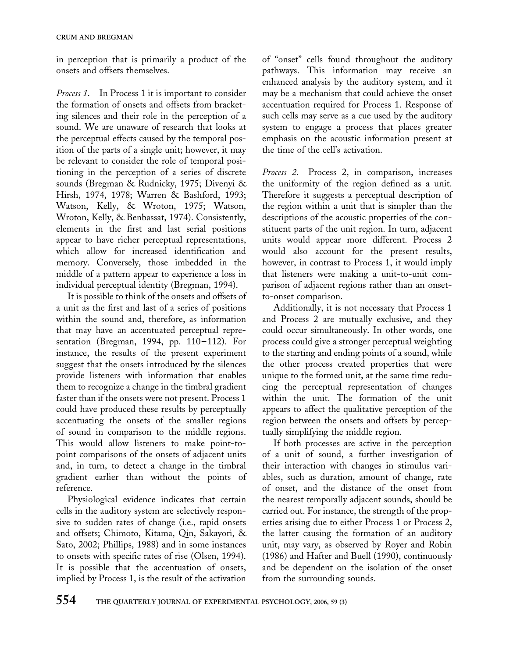in perception that is primarily a product of the onsets and offsets themselves.

Process 1. In Process 1 it is important to consider the formation of onsets and offsets from bracketing silences and their role in the perception of a sound. We are unaware of research that looks at the perceptual effects caused by the temporal position of the parts of a single unit; however, it may be relevant to consider the role of temporal positioning in the perception of a series of discrete sounds (Bregman & Rudnicky, 1975; Divenyi & Hirsh, 1974, 1978; Warren & Bashford, 1993; Watson, Kelly, & Wroton, 1975; Watson, Wroton, Kelly, & Benbassat, 1974). Consistently, elements in the first and last serial positions appear to have richer perceptual representations, which allow for increased identification and memory. Conversely, those imbedded in the middle of a pattern appear to experience a loss in individual perceptual identity (Bregman, 1994).

It is possible to think of the onsets and offsets of a unit as the first and last of a series of positions within the sound and, therefore, as information that may have an accentuated perceptual representation (Bregman, 1994, pp. 110–112). For instance, the results of the present experiment suggest that the onsets introduced by the silences provide listeners with information that enables them to recognize a change in the timbral gradient faster than if the onsets were not present. Process 1 could have produced these results by perceptually accentuating the onsets of the smaller regions of sound in comparison to the middle regions. This would allow listeners to make point-topoint comparisons of the onsets of adjacent units and, in turn, to detect a change in the timbral gradient earlier than without the points of reference.

Physiological evidence indicates that certain cells in the auditory system are selectively responsive to sudden rates of change (i.e., rapid onsets and offsets; Chimoto, Kitama, Qin, Sakayori, & Sato, 2002; Phillips, 1988) and in some instances to onsets with specific rates of rise (Olsen, 1994). It is possible that the accentuation of onsets, implied by Process 1, is the result of the activation

of "onset" cells found throughout the auditory pathways. This information may receive an enhanced analysis by the auditory system, and it may be a mechanism that could achieve the onset accentuation required for Process 1. Response of such cells may serve as a cue used by the auditory system to engage a process that places greater emphasis on the acoustic information present at the time of the cell's activation.

Process 2. Process 2, in comparison, increases the uniformity of the region defined as a unit. Therefore it suggests a perceptual description of the region within a unit that is simpler than the descriptions of the acoustic properties of the constituent parts of the unit region. In turn, adjacent units would appear more different. Process 2 would also account for the present results, however, in contrast to Process 1, it would imply that listeners were making a unit-to-unit comparison of adjacent regions rather than an onsetto-onset comparison.

Additionally, it is not necessary that Process 1 and Process 2 are mutually exclusive, and they could occur simultaneously. In other words, one process could give a stronger perceptual weighting to the starting and ending points of a sound, while the other process created properties that were unique to the formed unit, at the same time reducing the perceptual representation of changes within the unit. The formation of the unit appears to affect the qualitative perception of the region between the onsets and offsets by perceptually simplifying the middle region.

If both processes are active in the perception of a unit of sound, a further investigation of their interaction with changes in stimulus variables, such as duration, amount of change, rate of onset, and the distance of the onset from the nearest temporally adjacent sounds, should be carried out. For instance, the strength of the properties arising due to either Process 1 or Process 2, the latter causing the formation of an auditory unit, may vary, as observed by Royer and Robin (1986) and Hafter and Buell (1990), continuously and be dependent on the isolation of the onset from the surrounding sounds.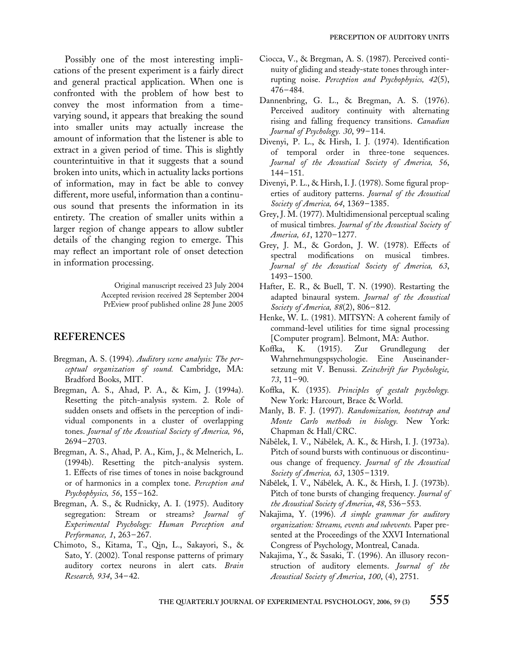Possibly one of the most interesting implications of the present experiment is a fairly direct and general practical application. When one is confronted with the problem of how best to convey the most information from a timevarying sound, it appears that breaking the sound into smaller units may actually increase the amount of information that the listener is able to extract in a given period of time. This is slightly counterintuitive in that it suggests that a sound broken into units, which in actuality lacks portions of information, may in fact be able to convey different, more useful, information than a continuous sound that presents the information in its entirety. The creation of smaller units within a larger region of change appears to allow subtler details of the changing region to emerge. This may reflect an important role of onset detection in information processing.

> Original manuscript received 23 July 2004 Accepted revision received 28 September 2004 PrEview proof published online 28 June 2005

# REFERENCES

- Bregman, A. S. (1994). Auditory scene analysis: The perceptual organization of sound. Cambridge, MA: Bradford Books, MIT.
- Bregman, A. S., Ahad, P. A., & Kim, J. (1994a). Resetting the pitch-analysis system. 2. Role of sudden onsets and offsets in the perception of individual components in a cluster of overlapping tones. Journal of the Acoustical Society of America, 96, 2694–2703.
- Bregman, A. S., Ahad, P. A., Kim, J., & Melnerich, L. (1994b). Resetting the pitch-analysis system. 1. Effects of rise times of tones in noise background or of harmonics in a complex tone. Perception and Psychophysics, 56, 155–162.
- Bregman, A. S., & Rudnicky, A. I. (1975). Auditory segregation: Stream or streams? Journal of Experimental Psychology: Human Perception and Performance, 1, 263–267.
- Chimoto, S., Kitama, T., Qin, L., Sakayori, S., & Sato, Y. (2002). Tonal response patterns of primary auditory cortex neurons in alert cats. Brain Research, 934, 34–42.
- Ciocca, V., & Bregman, A. S. (1987). Perceived continuity of gliding and steady-state tones through interrupting noise. Perception and Psychophysics, 42(5), 476–484.
- Dannenbring, G. L., & Bregman, A. S. (1976). Perceived auditory continuity with alternating rising and falling frequency transitions. Canadian Journal of Psychology. 30, 99–114.
- Divenyi, P. L., & Hirsh, I. J. (1974). Identification of temporal order in three-tone sequences. Journal of the Acoustical Society of America, 56, 144–151.
- Divenyi, P. L., & Hirsh, I. J. (1978). Some figural properties of auditory patterns. Journal of the Acoustical Society of America, 64, 1369–1385.
- Grey, J. M. (1977). Multidimensional perceptual scaling of musical timbres. Journal of the Acoustical Society of America, 61, 1270–1277.
- Grey, J. M., & Gordon, J. W. (1978). Effects of spectral modifications on musical timbres. Journal of the Acoustical Society of America, 63, 1493–1500.
- Hafter, E. R., & Buell, T. N. (1990). Restarting the adapted binaural system. Journal of the Acoustical Society of America, 88(2), 806-812.
- Henke, W. L. (1981). MITSYN: A coherent family of command-level utilities for time signal processing [Computer program]. Belmont, MA: Author.
- Koffka, K. (1915). Zur Grundlegung der Wahrnehmungspsychologie. Eine Auseinandersetzung mit V. Benussi. Zeitschrift fur Psychologie, 73, 11–90.
- Koffka, K. (1935). Principles of gestalt psychology. New York: Harcourt, Brace & World.
- Manly, B. F. J. (1997). Randomization, bootstrap and Monte Carlo methods in biology. New York: Chapman & Hall/CRC.
- Nábêlek, I. V., Nábêlek, A. K., & Hirsh, I. J. (1973a). Pitch of sound bursts with continuous or discontinuous change of frequency. Journal of the Acoustical Society of America, 63, 1305–1319.
- Nábêlek, I. V., Nábêlek, A. K., & Hirsh, I. J. (1973b). Pitch of tone bursts of changing frequency. Journal of the Acoustical Society of America, 48, 536–553.
- Nakajima, Y. (1996). A simple grammar for auditory organization: Streams, events and subevents. Paper presented at the Proceedings of the XXVI International Congress of Psychology, Montreal, Canada.
- Nakajima, Y., & Sasaki, T. (1996). An illusory reconstruction of auditory elements. Journal of the Acoustical Society of America, 100, (4), 2751.